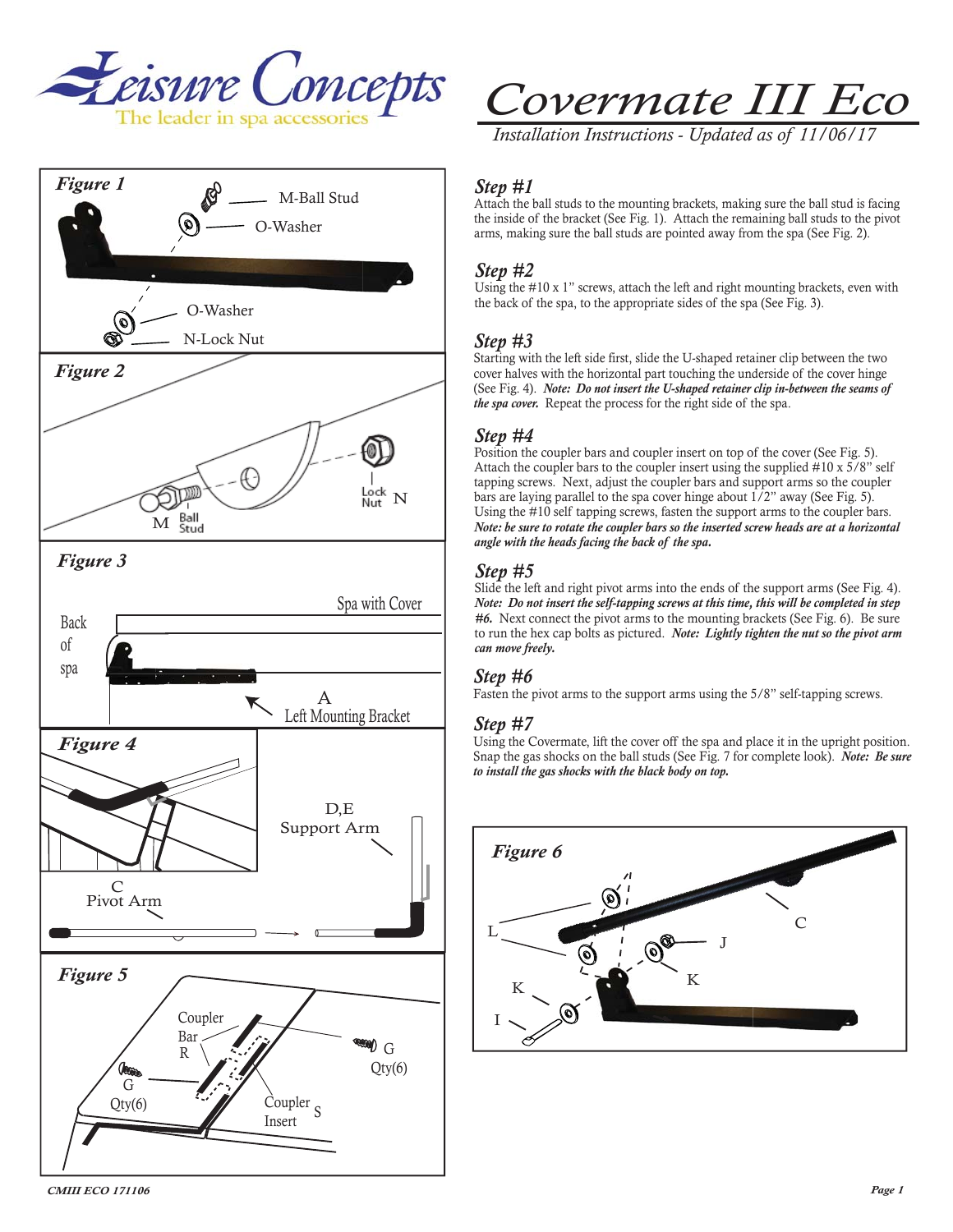



*Installation Instructions - Updated as of 11/06/17* 

## *Step #1*

Attach the ball studs to the mounting brackets, making sure the ball stud is facing the inside of the bracket (See Fig. 1). Attach the remaining ball studs to the pivot arms, making sure the ball studs are pointed away from the spa (See Fig. 2).

# *Step #2*

Using the #10 x 1" screws, attach the left and right mounting brackets, even with the back of the spa, to the appropriate sides of the spa (See Fig. 3).

## *Step #3*

Starting with the left side first, slide the U-shaped retainer clip between the two cover halves with the horizontal part touching the underside of the cover hinge (See Fig. 4). *Note: Do not insert the U-shaped retainer clip in-between the seams of the spa cover.* Repeat the process for the right side of the spa.

## *Step #4*

Position the coupler bars and coupler insert on top of the cover (See Fig. 5). Attach the coupler bars to the coupler insert using the supplied #10 x 5/8" self tapping screws. Next, adjust the coupler bars and support arms so the coupler bars are laying parallel to the spa cover hinge about 1/2" away (See Fig. 5). Using the #10 self tapping screws, fasten the support arms to the coupler bars. *Note: be sure to rotate the coupler bars so the inserted screw heads are at a horizontal angle with the heads facing the back of the spa.* 

## *Step #5*

Slide the left and right pivot arms into the ends of the support arms (See Fig. 4). *Note: Do not insert the self-tapping screws at this time, this will be completed in step #6.* Next connect the pivot arms to the mounting brackets (See Fig. 6). Be sure to run the hex cap bolts as pictured. *Note: Lightly tighten the nut so the pivot arm can move freely.*

#### *Step #6*

Fasten the pivot arms to the support arms using the 5/8" self-tapping screws.

#### *Step #7*

Using the Covermate, lift the cover off the spa and place it in the upright position. Snap the gas shocks on the ball studs (See Fig. 7 for complete look). *Note: Be sure to install the gas shocks with the black body on top.*